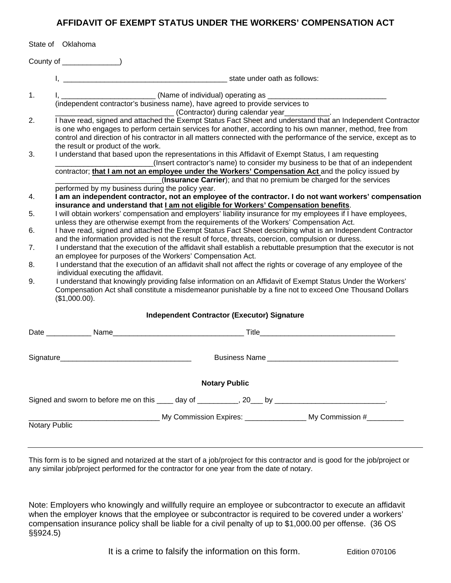## **AFFIDAVIT OF EXEMPT STATUS UNDER THE WORKERS' COMPENSATION ACT**

|                                                                                                   | State of Oklahoma                                                                                                                                                                                                                                                                                                                                                                     |                                                                      |                                   |  |
|---------------------------------------------------------------------------------------------------|---------------------------------------------------------------------------------------------------------------------------------------------------------------------------------------------------------------------------------------------------------------------------------------------------------------------------------------------------------------------------------------|----------------------------------------------------------------------|-----------------------------------|--|
|                                                                                                   |                                                                                                                                                                                                                                                                                                                                                                                       |                                                                      |                                   |  |
|                                                                                                   |                                                                                                                                                                                                                                                                                                                                                                                       |                                                                      |                                   |  |
| 1.                                                                                                | I, ___________________________(Name of individual) operating as _______________________<br>(independent contractor's business name), have agreed to provide services to<br>(Contractor) during calendar year [1984]                                                                                                                                                                   |                                                                      |                                   |  |
| 2.                                                                                                | I have read, signed and attached the Exempt Status Fact Sheet and understand that an Independent Contractor<br>is one who engages to perform certain services for another, according to his own manner, method, free from<br>control and direction of his contractor in all matters connected with the performance of the service, except as to<br>the result or product of the work. |                                                                      |                                   |  |
| 3.                                                                                                | I understand that based upon the representations in this Affidavit of Exempt Status, I am requesting<br>(Insert contractor's name) to consider my business to be that of an independent<br>contractor; that I am not an employee under the Workers' Compensation Act and the policy issued by                                                                                         |                                                                      |                                   |  |
|                                                                                                   |                                                                                                                                                                                                                                                                                                                                                                                       | (Insurance Carrier); and that no premium be charged for the services |                                   |  |
| 4.                                                                                                | performed by my business during the policy year.<br>I am an independent contractor, not an employee of the contractor. I do not want workers' compensation<br>insurance and understand that I am not eligible for Workers' Compensation benefits.                                                                                                                                     |                                                                      |                                   |  |
| 5.                                                                                                | I will obtain workers' compensation and employers' liability insurance for my employees if I have employees,<br>unless they are otherwise exempt from the requirements of the Workers' Compensation Act.                                                                                                                                                                              |                                                                      |                                   |  |
| 6.                                                                                                | I have read, signed and attached the Exempt Status Fact Sheet describing what is an Independent Contractor<br>and the information provided is not the result of force, threats, coercion, compulsion or duress.                                                                                                                                                                       |                                                                      |                                   |  |
| 7.                                                                                                | I understand that the execution of the affidavit shall establish a rebuttable presumption that the executor is not<br>an employee for purposes of the Workers' Compensation Act.                                                                                                                                                                                                      |                                                                      |                                   |  |
| 8.                                                                                                | I understand that the execution of an affidavit shall not affect the rights or coverage of any employee of the                                                                                                                                                                                                                                                                        |                                                                      |                                   |  |
| 9.                                                                                                | individual executing the affidavit.<br>I understand that knowingly providing false information on an Affidavit of Exempt Status Under the Workers'<br>Compensation Act shall constitute a misdemeanor punishable by a fine not to exceed One Thousand Dollars<br>(\$1,000.00).                                                                                                        |                                                                      |                                   |  |
| <b>Independent Contractor (Executor) Signature</b>                                                |                                                                                                                                                                                                                                                                                                                                                                                       |                                                                      |                                   |  |
|                                                                                                   |                                                                                                                                                                                                                                                                                                                                                                                       |                                                                      |                                   |  |
|                                                                                                   |                                                                                                                                                                                                                                                                                                                                                                                       |                                                                      | <b>Business Name Example 2018</b> |  |
|                                                                                                   |                                                                                                                                                                                                                                                                                                                                                                                       | <b>Notary Public</b>                                                 |                                   |  |
| Signed and sworn to before me on this ____ day of __________, 20___ by _________________________. |                                                                                                                                                                                                                                                                                                                                                                                       |                                                                      |                                   |  |
|                                                                                                   |                                                                                                                                                                                                                                                                                                                                                                                       |                                                                      |                                   |  |
| Notary Public                                                                                     |                                                                                                                                                                                                                                                                                                                                                                                       |                                                                      |                                   |  |
|                                                                                                   |                                                                                                                                                                                                                                                                                                                                                                                       |                                                                      |                                   |  |

This form is to be signed and notarized at the start of a job/project for this contractor and is good for the job/project or any similar job/project performed for the contractor for one year from the date of notary.

Note: Employers who knowingly and willfully require an employee or subcontractor to execute an affidavit when the employer knows that the employee or subcontractor is required to be covered under a workers' compensation insurance policy shall be liable for a civil penalty of up to \$1,000.00 per offense. (36 OS §§924.5)

It is a crime to falsify the information on this form. Edition 070106